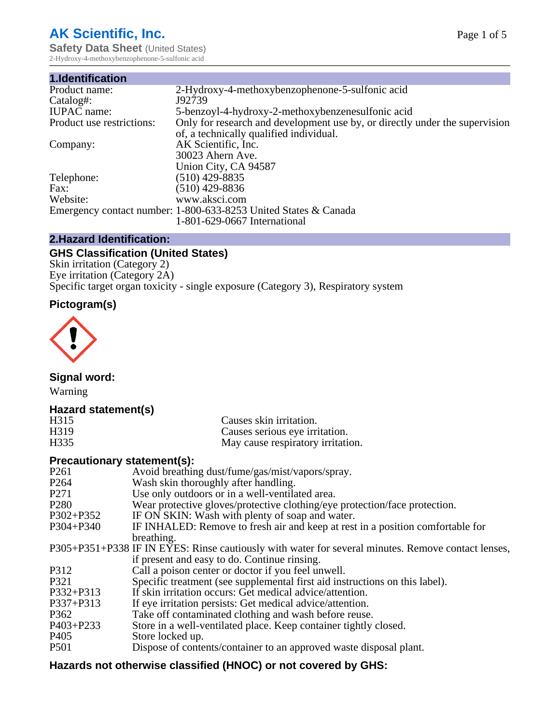# **AK Scientific, Inc.**

**Safety Data Sheet (United States)** 2-Hydroxy-4-methoxybenzophenone-5-sulfonic acid

| 1.Identification          |                                                                             |
|---------------------------|-----------------------------------------------------------------------------|
| Product name:             | 2-Hydroxy-4-methoxybenzophenone-5-sulfonic acid                             |
| Catalog#:                 | J92739                                                                      |
| <b>IUPAC</b> name:        | 5-benzoyl-4-hydroxy-2-methoxybenzenesulfonic acid                           |
| Product use restrictions: | Only for research and development use by, or directly under the supervision |
|                           | of, a technically qualified individual.                                     |
| Company:                  | AK Scientific, Inc.                                                         |
|                           | 30023 Ahern Ave.                                                            |
|                           | Union City, CA 94587                                                        |
| Telephone:                | $(510)$ 429-8835                                                            |
| Fax:                      | $(510)$ 429-8836                                                            |
| Website:                  | www.aksci.com                                                               |
|                           | Emergency contact number: 1-800-633-8253 United States & Canada             |
|                           | 1-801-629-0667 International                                                |

# **2.Hazard Identification:**

# **GHS Classification (United States)**

Skin irritation (Category 2) Eye irritation (Category 2A) Specific target organ toxicity - single exposure (Category 3), Respiratory system

# **Pictogram(s)**



**Signal word:**

Warning

# **Hazard statement(s)**

| H315 | Causes skin irritation.           |
|------|-----------------------------------|
| H319 | Causes serious eye irritation.    |
| H335 | May cause respiratory irritation. |

#### **Precautionary statement(s):**

| P <sub>261</sub> | Avoid breathing dust/fume/gas/mist/vapors/spray.                                                   |
|------------------|----------------------------------------------------------------------------------------------------|
| P <sub>264</sub> | Wash skin thoroughly after handling.                                                               |
| P <sub>271</sub> | Use only outdoors or in a well-ventilated area.                                                    |
| P <sub>280</sub> | Wear protective gloves/protective clothing/eye protection/face protection.                         |
| P302+P352        | IF ON SKIN: Wash with plenty of soap and water.                                                    |
| $P304 + P340$    | IF INHALED: Remove to fresh air and keep at rest in a position comfortable for                     |
|                  | breathing.                                                                                         |
|                  | P305+P351+P338 IF IN EYES: Rinse cautiously with water for several minutes. Remove contact lenses, |
|                  | if present and easy to do. Continue rinsing.                                                       |
| P312             | Call a poison center or doctor if you feel unwell.                                                 |
| P321             | Specific treatment (see supplemental first aid instructions on this label).                        |
| P332+P313        | If skin irritation occurs: Get medical advice/attention.                                           |
| P337+P313        | If eye irritation persists: Get medical advice/attention.                                          |
| P362             | Take off contaminated clothing and wash before reuse.                                              |
| P403+P233        | Store in a well-ventilated place. Keep container tightly closed.                                   |
| P <sub>405</sub> | Store locked up.                                                                                   |
| P <sub>501</sub> | Dispose of contents/container to an approved waste disposal plant.                                 |
|                  |                                                                                                    |

# **Hazards not otherwise classified (HNOC) or not covered by GHS:**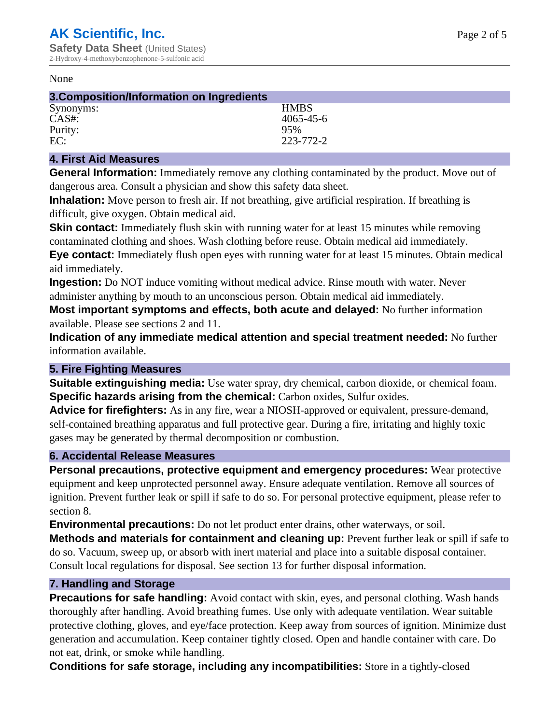#### None

| 3. Composition/Information on Ingredients |                 |  |
|-------------------------------------------|-----------------|--|
| Synonyms:                                 | <b>HMBS</b>     |  |
| $CAS#$ :                                  | $4065 - 45 - 6$ |  |
| Purity:                                   | 95%             |  |
| EC:                                       | 223-772-2       |  |

### **4. First Aid Measures**

**General Information:** Immediately remove any clothing contaminated by the product. Move out of dangerous area. Consult a physician and show this safety data sheet.

**Inhalation:** Move person to fresh air. If not breathing, give artificial respiration. If breathing is difficult, give oxygen. Obtain medical aid.

**Skin contact:** Immediately flush skin with running water for at least 15 minutes while removing contaminated clothing and shoes. Wash clothing before reuse. Obtain medical aid immediately. **Eye contact:** Immediately flush open eyes with running water for at least 15 minutes. Obtain medical aid immediately.

**Ingestion:** Do NOT induce vomiting without medical advice. Rinse mouth with water. Never administer anything by mouth to an unconscious person. Obtain medical aid immediately.

**Most important symptoms and effects, both acute and delayed:** No further information available. Please see sections 2 and 11.

**Indication of any immediate medical attention and special treatment needed:** No further information available.

#### **5. Fire Fighting Measures**

**Suitable extinguishing media:** Use water spray, dry chemical, carbon dioxide, or chemical foam. **Specific hazards arising from the chemical:** Carbon oxides, Sulfur oxides.

**Advice for firefighters:** As in any fire, wear a NIOSH-approved or equivalent, pressure-demand, self-contained breathing apparatus and full protective gear. During a fire, irritating and highly toxic gases may be generated by thermal decomposition or combustion.

# **6. Accidental Release Measures**

**Personal precautions, protective equipment and emergency procedures:** Wear protective equipment and keep unprotected personnel away. Ensure adequate ventilation. Remove all sources of ignition. Prevent further leak or spill if safe to do so. For personal protective equipment, please refer to section 8.

**Environmental precautions:** Do not let product enter drains, other waterways, or soil.

**Methods and materials for containment and cleaning up:** Prevent further leak or spill if safe to do so. Vacuum, sweep up, or absorb with inert material and place into a suitable disposal container. Consult local regulations for disposal. See section 13 for further disposal information.

#### **7. Handling and Storage**

**Precautions for safe handling:** Avoid contact with skin, eyes, and personal clothing. Wash hands thoroughly after handling. Avoid breathing fumes. Use only with adequate ventilation. Wear suitable protective clothing, gloves, and eye/face protection. Keep away from sources of ignition. Minimize dust generation and accumulation. Keep container tightly closed. Open and handle container with care. Do not eat, drink, or smoke while handling.

**Conditions for safe storage, including any incompatibilities:** Store in a tightly-closed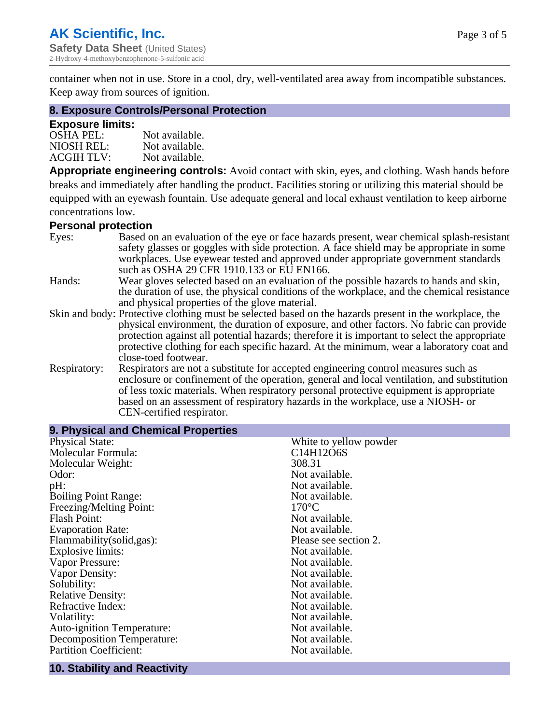container when not in use. Store in a cool, dry, well-ventilated area away from incompatible substances. Keep away from sources of ignition.

#### **8. Exposure Controls/Personal Protection**

#### **Exposure limits:**

| <b>OSHA PEL:</b>  | Not available. |
|-------------------|----------------|
| NIOSH REL:        | Not available. |
| <b>ACGIH TLV:</b> | Not available. |

**Appropriate engineering controls:** Avoid contact with skin, eyes, and clothing. Wash hands before breaks and immediately after handling the product. Facilities storing or utilizing this material should be equipped with an eyewash fountain. Use adequate general and local exhaust ventilation to keep airborne concentrations low.

#### **Personal protection**

| Eyes:        | Based on an evaluation of the eye or face hazards present, wear chemical splash-resistant<br>safety glasses or goggles with side protection. A face shield may be appropriate in some |
|--------------|---------------------------------------------------------------------------------------------------------------------------------------------------------------------------------------|
|              | workplaces. Use eyewear tested and approved under appropriate government standards<br>such as OSHA 29 CFR 1910.133 or EU EN166.                                                       |
| Hands:       | Wear gloves selected based on an evaluation of the possible hazards to hands and skin,                                                                                                |
|              | the duration of use, the physical conditions of the workplace, and the chemical resistance                                                                                            |
|              | and physical properties of the glove material.                                                                                                                                        |
|              | Skin and body: Protective clothing must be selected based on the hazards present in the workplace, the                                                                                |
|              | physical environment, the duration of exposure, and other factors. No fabric can provide                                                                                              |
|              | protection against all potential hazards; therefore it is important to select the appropriate                                                                                         |
|              | protective clothing for each specific hazard. At the minimum, wear a laboratory coat and                                                                                              |
|              | close-toed footwear.                                                                                                                                                                  |
| Respiratory: | Respirators are not a substitute for accepted engineering control measures such as<br>enclosure or confinement of the operation, general and local ventilation, and substitution      |
|              | of less toxic materials. When respiratory personal protective equipment is appropriate                                                                                                |
|              | based on an assessment of respiratory hazards in the workplace, use a NIOSH- or                                                                                                       |
|              | CEN-certified respirator.                                                                                                                                                             |

| 9. Physical and Chemical Properties |                        |  |  |
|-------------------------------------|------------------------|--|--|
| <b>Physical State:</b>              | White to yellow powder |  |  |
| Molecular Formula:                  | C14H12O6S              |  |  |
| Molecular Weight:                   | 308.31                 |  |  |
| Odor:                               | Not available.         |  |  |
| pH:                                 | Not available.         |  |  |
| <b>Boiling Point Range:</b>         | Not available.         |  |  |
| Freezing/Melting Point:             | $170^{\circ}$ C        |  |  |
| <b>Flash Point:</b>                 | Not available.         |  |  |
| <b>Evaporation Rate:</b>            | Not available.         |  |  |
| Flammability(solid,gas):            | Please see section 2.  |  |  |
| <b>Explosive limits:</b>            | Not available.         |  |  |
| Vapor Pressure:                     | Not available.         |  |  |
| Vapor Density:                      | Not available.         |  |  |
| Solubility:                         | Not available.         |  |  |
| <b>Relative Density:</b>            | Not available.         |  |  |
| Refractive Index:                   | Not available.         |  |  |
| Volatility:                         | Not available.         |  |  |
| <b>Auto-ignition Temperature:</b>   | Not available.         |  |  |
| <b>Decomposition Temperature:</b>   | Not available.         |  |  |
| <b>Partition Coefficient:</b>       | Not available.         |  |  |

#### **10. Stability and Reactivity**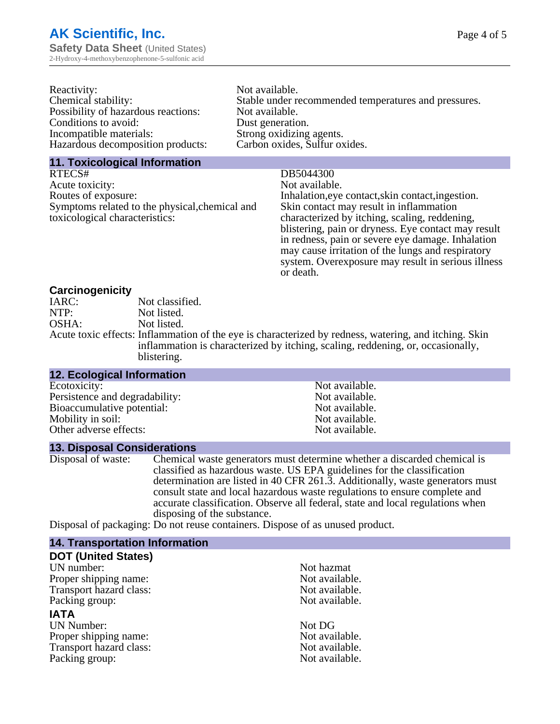| Reactivity:                         | Not available.                                       |
|-------------------------------------|------------------------------------------------------|
| Chemical stability:                 | Stable under recommended temperatures and pressures. |
| Possibility of hazardous reactions: | Not available.                                       |
| Conditions to avoid:                | Dust generation.                                     |
| Incompatible materials:             | Strong oxidizing agents.                             |
| Hazardous decomposition products:   | Carbon oxides, Sulfur oxides.                        |
|                                     |                                                      |

#### **11. Toxicological Information**

RTECS# DB5044300 Acute toxicity: Not available.<br>
Routes of exposure: This is a multiple in the link of exposure in the link of the link of exposure. Symptoms related to the physical,chemical and toxicological characteristics:

Inhalation,eye contact, skin contact, ingestion. Skin contact may result in inflammation characterized by itching, scaling, reddening, blistering, pain or dryness. Eye contact may result in redness, pain or severe eye damage. Inhalation may cause irritation of the lungs and respiratory system. Overexposure may result in serious illness or death.

#### **Carcinogenicity**

| IARC: | Not classified.                                                                                       |
|-------|-------------------------------------------------------------------------------------------------------|
| NTP:  | Not listed.                                                                                           |
| OSHA: | Not listed.                                                                                           |
|       | Acute toxic effects: Inflammation of the eye is characterized by redness, watering, and itching. Skin |
|       | inflammation is characterized by itching, scaling, reddening, or, occasionally,                       |
|       | blistering.                                                                                           |

| <b>12. Ecological Information</b> |                |  |
|-----------------------------------|----------------|--|
| Ecotoxicity:                      | Not available. |  |
| Persistence and degradability:    | Not available. |  |
| Bioaccumulative potential:        | Not available. |  |
| Mobility in soil:                 | Not available. |  |
| Other adverse effects:            | Not available. |  |

**13. Disposal Considerations** Chemical waste generators must determine whether a discarded chemical is classified as hazardous waste. US EPA guidelines for the classification determination are listed in 40 CFR 261.3. Additionally, waste generators must consult state and local hazardous waste regulations to ensure complete and accurate classification. Observe all federal, state and local regulations when disposing of the substance.

Disposal of packaging: Do not reuse containers. Dispose of as unused product.

| Not hazmat     |
|----------------|
| Not available. |
| Not available. |
| Not available. |
|                |
| Not DG         |
| Not available. |
| Not available. |
| Not available. |
|                |